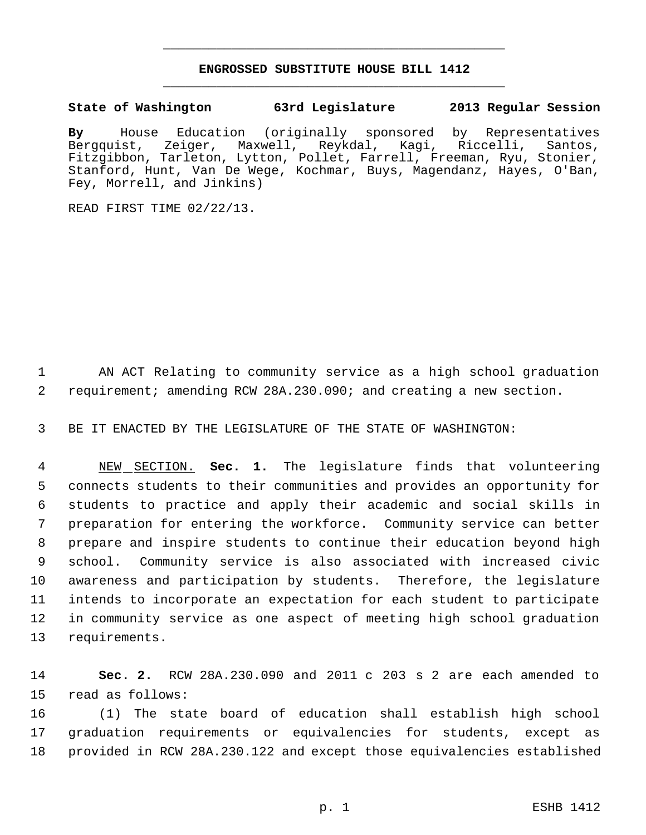## **ENGROSSED SUBSTITUTE HOUSE BILL 1412** \_\_\_\_\_\_\_\_\_\_\_\_\_\_\_\_\_\_\_\_\_\_\_\_\_\_\_\_\_\_\_\_\_\_\_\_\_\_\_\_\_\_\_\_\_

\_\_\_\_\_\_\_\_\_\_\_\_\_\_\_\_\_\_\_\_\_\_\_\_\_\_\_\_\_\_\_\_\_\_\_\_\_\_\_\_\_\_\_\_\_

**State of Washington 63rd Legislature 2013 Regular Session**

**By** House Education (originally sponsored by Representatives Bergquist, Zeiger, Maxwell, Reykdal, Kagi, Riccelli, Santos, Fitzgibbon, Tarleton, Lytton, Pollet, Farrell, Freeman, Ryu, Stonier, Stanford, Hunt, Van De Wege, Kochmar, Buys, Magendanz, Hayes, O'Ban, Fey, Morrell, and Jinkins)

READ FIRST TIME 02/22/13.

 AN ACT Relating to community service as a high school graduation requirement; amending RCW 28A.230.090; and creating a new section.

BE IT ENACTED BY THE LEGISLATURE OF THE STATE OF WASHINGTON:

 NEW SECTION. **Sec. 1.** The legislature finds that volunteering connects students to their communities and provides an opportunity for students to practice and apply their academic and social skills in preparation for entering the workforce. Community service can better prepare and inspire students to continue their education beyond high school. Community service is also associated with increased civic awareness and participation by students. Therefore, the legislature intends to incorporate an expectation for each student to participate in community service as one aspect of meeting high school graduation requirements.

 **Sec. 2.** RCW 28A.230.090 and 2011 c 203 s 2 are each amended to read as follows:

 (1) The state board of education shall establish high school graduation requirements or equivalencies for students, except as provided in RCW 28A.230.122 and except those equivalencies established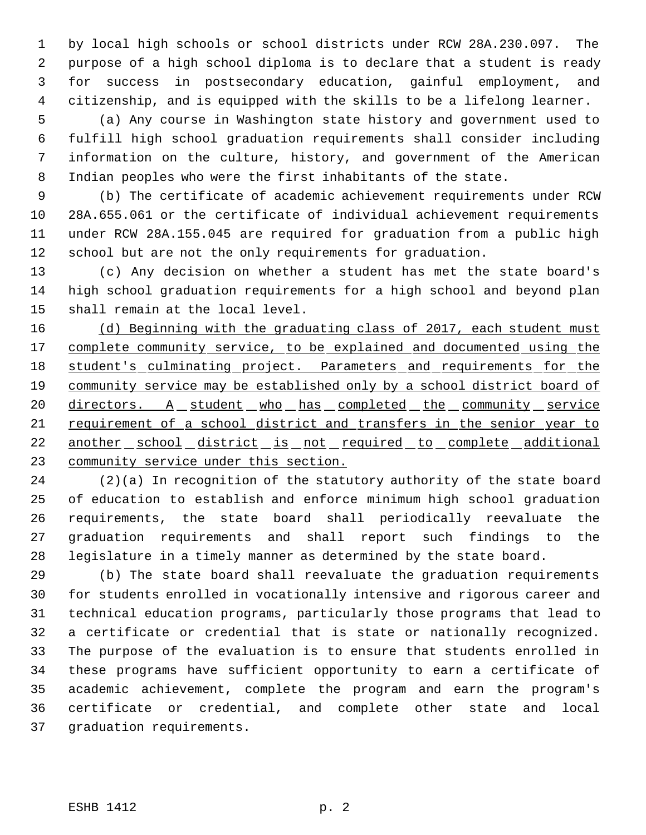by local high schools or school districts under RCW 28A.230.097. The purpose of a high school diploma is to declare that a student is ready for success in postsecondary education, gainful employment, and citizenship, and is equipped with the skills to be a lifelong learner.

 (a) Any course in Washington state history and government used to fulfill high school graduation requirements shall consider including information on the culture, history, and government of the American Indian peoples who were the first inhabitants of the state.

 (b) The certificate of academic achievement requirements under RCW 28A.655.061 or the certificate of individual achievement requirements under RCW 28A.155.045 are required for graduation from a public high school but are not the only requirements for graduation.

 (c) Any decision on whether a student has met the state board's high school graduation requirements for a high school and beyond plan shall remain at the local level.

16 (d) Beginning with the graduating class of 2017, each student must 17 complete community service, to be explained and documented using the 18 student's culminating project. Parameters and requirements for the 19 community service may be established only by a school district board of 20 directors. A student who has completed the community service requirement of a school district and transfers in the senior year to 22 another school district is not required to complete additional community service under this section.

 (2)(a) In recognition of the statutory authority of the state board of education to establish and enforce minimum high school graduation requirements, the state board shall periodically reevaluate the graduation requirements and shall report such findings to the legislature in a timely manner as determined by the state board.

 (b) The state board shall reevaluate the graduation requirements for students enrolled in vocationally intensive and rigorous career and technical education programs, particularly those programs that lead to a certificate or credential that is state or nationally recognized. The purpose of the evaluation is to ensure that students enrolled in these programs have sufficient opportunity to earn a certificate of academic achievement, complete the program and earn the program's certificate or credential, and complete other state and local graduation requirements.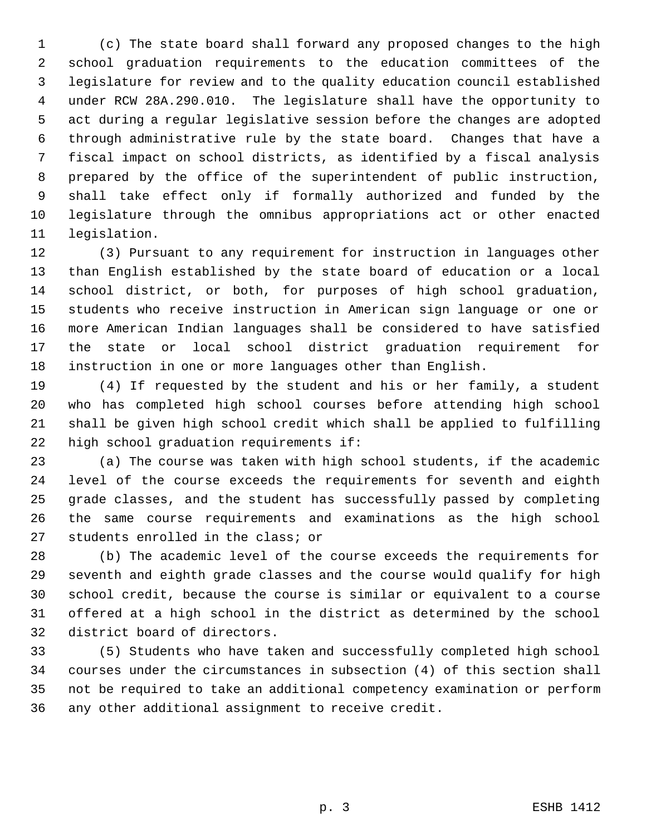(c) The state board shall forward any proposed changes to the high school graduation requirements to the education committees of the legislature for review and to the quality education council established under RCW 28A.290.010. The legislature shall have the opportunity to act during a regular legislative session before the changes are adopted through administrative rule by the state board. Changes that have a fiscal impact on school districts, as identified by a fiscal analysis prepared by the office of the superintendent of public instruction, shall take effect only if formally authorized and funded by the legislature through the omnibus appropriations act or other enacted legislation.

 (3) Pursuant to any requirement for instruction in languages other than English established by the state board of education or a local school district, or both, for purposes of high school graduation, students who receive instruction in American sign language or one or more American Indian languages shall be considered to have satisfied the state or local school district graduation requirement for instruction in one or more languages other than English.

 (4) If requested by the student and his or her family, a student who has completed high school courses before attending high school shall be given high school credit which shall be applied to fulfilling high school graduation requirements if:

 (a) The course was taken with high school students, if the academic level of the course exceeds the requirements for seventh and eighth grade classes, and the student has successfully passed by completing the same course requirements and examinations as the high school students enrolled in the class; or

 (b) The academic level of the course exceeds the requirements for seventh and eighth grade classes and the course would qualify for high school credit, because the course is similar or equivalent to a course offered at a high school in the district as determined by the school district board of directors.

 (5) Students who have taken and successfully completed high school courses under the circumstances in subsection (4) of this section shall not be required to take an additional competency examination or perform any other additional assignment to receive credit.